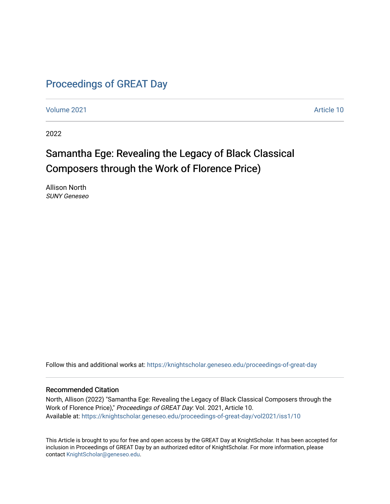## [Proceedings of GREAT Day](https://knightscholar.geneseo.edu/proceedings-of-great-day)

[Volume 2021](https://knightscholar.geneseo.edu/proceedings-of-great-day/vol2021) [Article 10](https://knightscholar.geneseo.edu/proceedings-of-great-day/vol2021/iss1/10) 

2022

# Samantha Ege: Revealing the Legacy of Black Classical Composers through the Work of Florence Price)

Allison North SUNY Geneseo

Follow this and additional works at: [https://knightscholar.geneseo.edu/proceedings-of-great-day](https://knightscholar.geneseo.edu/proceedings-of-great-day?utm_source=knightscholar.geneseo.edu%2Fproceedings-of-great-day%2Fvol2021%2Fiss1%2F10&utm_medium=PDF&utm_campaign=PDFCoverPages) 

#### Recommended Citation

North, Allison (2022) "Samantha Ege: Revealing the Legacy of Black Classical Composers through the Work of Florence Price)," Proceedings of GREAT Day: Vol. 2021, Article 10. Available at: [https://knightscholar.geneseo.edu/proceedings-of-great-day/vol2021/iss1/10](https://knightscholar.geneseo.edu/proceedings-of-great-day/vol2021/iss1/10?utm_source=knightscholar.geneseo.edu%2Fproceedings-of-great-day%2Fvol2021%2Fiss1%2F10&utm_medium=PDF&utm_campaign=PDFCoverPages)

This Article is brought to you for free and open access by the GREAT Day at KnightScholar. It has been accepted for inclusion in Proceedings of GREAT Day by an authorized editor of KnightScholar. For more information, please contact [KnightScholar@geneseo.edu.](mailto:KnightScholar@geneseo.edu)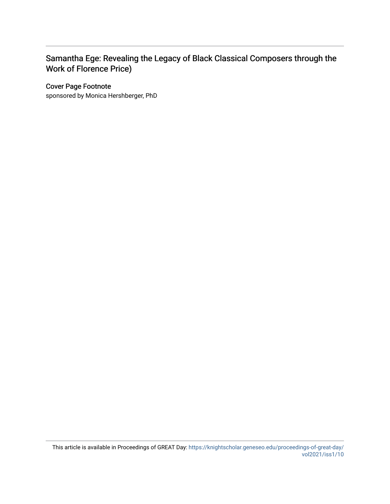### Samantha Ege: Revealing the Legacy of Black Classical Composers through the Work of Florence Price)

#### Cover Page Footnote

sponsored by Monica Hershberger, PhD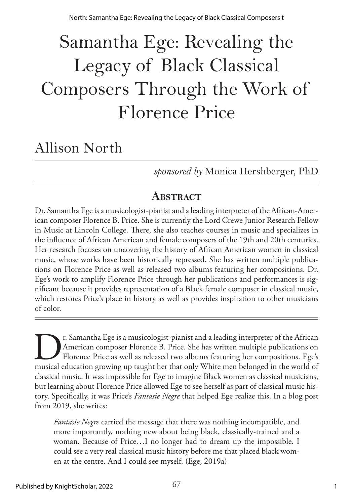North: Samantha Ege: Revealing the Legacy of Black Classical Composers t

# Samantha Ege: Revealing the Legacy of Black Classical Composers Through the Work of Florence Price

# Allison North

*sponsored by* Monica Hershberger, PhD

# **ABSTRACT**

Dr. Samantha Ege is a musicologist-pianist and a leading interpreter of the African-American composer Florence B. Price. She is currently the Lord Crewe Junior Research Fellow in Music at Lincoln College. There, she also teaches courses in music and specializes in the influence of African American and female composers of the 19th and 20th centuries. Her research focuses on uncovering the history of African American women in classical music, whose works have been historically repressed. She has written multiple publications on Florence Price as well as released two albums featuring her compositions. Dr. Ege's work to amplify Florence Price through her publications and performances is significant because it provides representation of a Black female composer in classical music, which restores Price's place in history as well as provides inspiration to other musicians of color.

The Samantha Ege is a musicologist-pianist and a leading interpreter of the African<br>American composer Florence B. Price. She has written multiple publications on<br>Florence Price as well as released two albums featuring her American composer Florence B. Price. She has written multiple publications on Florence Price as well as released two albums featuring her compositions. Ege's musical education growing up taught her that only White men belonged in the world of classical music. It was impossible for Ege to imagine Black women as classical musicians, but learning about Florence Price allowed Ege to see herself as part of classical music history. Specifically, it was Price's *Fantasie Negre* that helped Ege realize this. In a blog post from 2019, she writes:

*Fantasie Negre* carried the message that there was nothing incompatible, and more importantly, nothing new about being black, classically-trained and a woman. Because of Price…I no longer had to dream up the impossible. I could see a very real classical music history before me that placed black women at the centre. And I could see myself. (Ege, 2019a)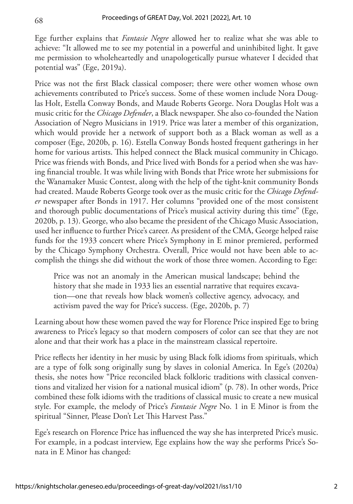68

Ege further explains that *Fantasie Negre* allowed her to realize what she was able to achieve: "It allowed me to see my potential in a powerful and uninhibited light. It gave me permission to wholeheartedly and unapologetically pursue whatever I decided that potential was" (Ege, 2019a).

Price was not the first Black classical composer; there were other women whose own achievements contributed to Price's success. Some of these women include Nora Douglas Holt, Estella Conway Bonds, and Maude Roberts George. Nora Douglas Holt was a music critic for the *Chicago Defender*, a Black newspaper. She also co-founded the Nation Association of Negro Musicians in 1919. Price was later a member of this organization, which would provide her a network of support both as a Black woman as well as a composer (Ege, 2020b, p. 16). Estella Conway Bonds hosted frequent gatherings in her home for various artists. This helped connect the Black musical community in Chicago. Price was friends with Bonds, and Price lived with Bonds for a period when she was having financial trouble. It was while living with Bonds that Price wrote her submissions for the Wanamaker Music Contest, along with the help of the tight-knit community Bonds had created. Maude Roberts George took over as the music critic for the *Chicago Defender* newspaper after Bonds in 1917. Her columns "provided one of the most consistent and thorough public documentations of Price's musical activity during this time" (Ege, 2020b, p. 13). George, who also became the president of the Chicago Music Association, used her influence to further Price's career. As president of the CMA, George helped raise funds for the 1933 concert where Price's Symphony in E minor premiered, performed by the Chicago Symphony Orchestra. Overall, Price would not have been able to accomplish the things she did without the work of those three women. According to Ege:

Price was not an anomaly in the American musical landscape; behind the history that she made in 1933 lies an essential narrative that requires excavation—one that reveals how black women's collective agency, advocacy, and activism paved the way for Price's success. (Ege, 2020b, p. 7)

Learning about how these women paved the way for Florence Price inspired Ege to bring awareness to Price's legacy so that modern composers of color can see that they are not alone and that their work has a place in the mainstream classical repertoire.

Price reflects her identity in her music by using Black folk idioms from spirituals, which are a type of folk song originally sung by slaves in colonial America. In Ege's (2020a) thesis, she notes how "Price reconciled black folkloric traditions with classical conventions and vitalized her vision for a national musical idiom" (p. 78). In other words, Price combined these folk idioms with the traditions of classical music to create a new musical style. For example, the melody of Price's *Fantasie Negre* No. 1 in E Minor is from the spiritual "Sinner, Please Don't Let This Harvest Pass."

Ege's research on Florence Price has influenced the way she has interpreted Price's music. For example, in a podcast interview, Ege explains how the way she performs Price's Sonata in E Minor has changed: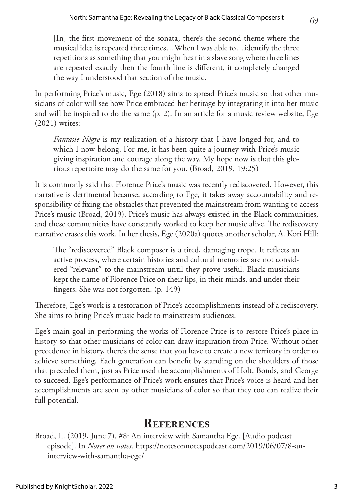[In] the first movement of the sonata, there's the second theme where the musical idea is repeated three times…When I was able to…identify the three repetitions as something that you might hear in a slave song where three lines are repeated exactly then the fourth line is different, it completely changed the way I understood that section of the music.

In performing Price's music, Ege (2018) aims to spread Price's music so that other musicians of color will see how Price embraced her heritage by integrating it into her music and will be inspired to do the same (p. 2). In an article for a music review website, Ege (2021) writes:

*Fantasie Nègre* is my realization of a history that I have longed for, and to which I now belong. For me, it has been quite a journey with Price's music giving inspiration and courage along the way. My hope now is that this glorious repertoire may do the same for you. (Broad, 2019, 19:25)

It is commonly said that Florence Price's music was recently rediscovered. However, this narrative is detrimental because, according to Ege, it takes away accountability and responsibility of fixing the obstacles that prevented the mainstream from wanting to access Price's music (Broad, 2019). Price's music has always existed in the Black communities, and these communities have constantly worked to keep her music alive. The rediscovery narrative erases this work. In her thesis, Ege (2020a) quotes another scholar, A. Kori Hill:

The "rediscovered" Black composer is a tired, damaging trope. It reflects an active process, where certain histories and cultural memories are not considered "relevant" to the mainstream until they prove useful. Black musicians kept the name of Florence Price on their lips, in their minds, and under their fingers. She was not forgotten. (p. 149)

Therefore, Ege's work is a restoration of Price's accomplishments instead of a rediscovery. She aims to bring Price's music back to mainstream audiences.

Ege's main goal in performing the works of Florence Price is to restore Price's place in history so that other musicians of color can draw inspiration from Price. Without other precedence in history, there's the sense that you have to create a new territory in order to achieve something. Each generation can benefit by standing on the shoulders of those that preceded them, just as Price used the accomplishments of Holt, Bonds, and George to succeed. Ege's performance of Price's work ensures that Price's voice is heard and her accomplishments are seen by other musicians of color so that they too can realize their full potential.

#### **References**

Broad, L. (2019, June 7). #8: An interview with Samantha Ege. [Audio podcast episode]. In *Notes on notes*. [https://notesonnotespodcast.com/2019/06/07/8-an](https://notesonnotespodcast.com/2019/06/07/8-an-interview-with-samantha-ege/)[interview-with-samantha-ege/](https://notesonnotespodcast.com/2019/06/07/8-an-interview-with-samantha-ege/)